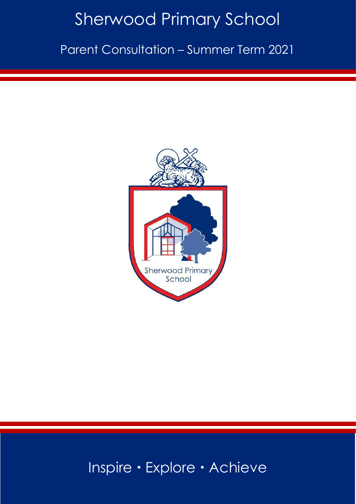# Sherwood Primary School

Parent Consultation – Summer Term 2021



# Inspire · Explore · Achieve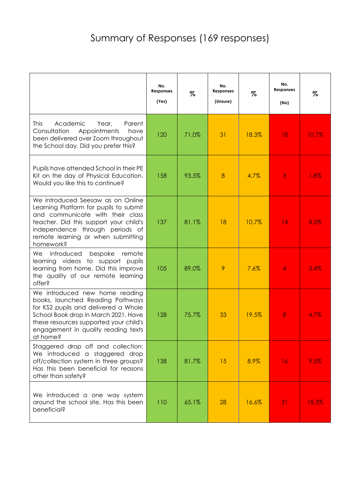|                                                                                                                                                                                                                                                 | No.<br><b>Responses</b><br>(Yes) | %     | No.<br><b>Responses</b><br>(Unsure) | %     | No.<br><b>Responses</b><br>(No) | %     |
|-------------------------------------------------------------------------------------------------------------------------------------------------------------------------------------------------------------------------------------------------|----------------------------------|-------|-------------------------------------|-------|---------------------------------|-------|
| <b>This</b><br>Academic<br>Parent<br>Year,<br>Consultation<br>Appointments<br>have<br>been delivered over Zoom throughout<br>the School day. Did you prefer this?                                                                               | 120                              | 71.0% | 31                                  | 18.3% | 18                              | 10.7% |
| Pupils have attended School in their PE<br>Kit on the day of Physical Education.<br>Would you like this to continue?                                                                                                                            | 158                              | 93.5% | 8                                   | 4.7%  | 3                               | 1.8%  |
| We introduced Seesaw as on Online<br>Learning Platform for pupils to submit<br>and communicate with their class<br>teacher. Did this support your child's<br>independence through periods of<br>remote learning or when submitting<br>homework? | 137                              | 81.1% | 18                                  | 10.7% | 14                              | 8.3%  |
| We<br>introduced<br>bespoke<br>remote<br>learning videos to support pupils<br>learning from home. Did this improve<br>the quality of our remote learning<br>offer?                                                                              | 105                              | 89.0% | 9                                   | 7.6%  | 4                               | 3.4%  |
| We introduced new home reading<br>books, launched Reading Pathways<br>for KS2 pupils and delivered a Whole<br>School Book drop in March 2021. Have<br>these resources supported your child's<br>engagement in quality reading texts<br>at home? | 128                              | 75.7% | 33                                  | 19.5% | 8                               | 4.7%  |
| Staggered drop off and collection:<br>We introduced a staggered drop<br>off/collection system in three groups?<br>Has this been beneficial for reasons<br>other than safety?                                                                    | 138                              | 81.7% | 15                                  | 8.9%  | 16                              | 9.5%  |
| We introduced a one way system<br>around the school site. Has this been<br>beneficial?                                                                                                                                                          | 110                              | 65.1% | 28                                  | 16.6% | 31                              | 18.3% |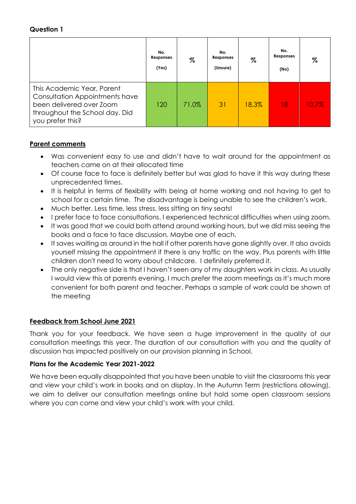|                                                                                                                                                | No.<br>Responses<br>(Yes) | %     | No.<br>Responses<br>(Unsure) | %     | No.<br><b>Responses</b><br>(No) | %     |
|------------------------------------------------------------------------------------------------------------------------------------------------|---------------------------|-------|------------------------------|-------|---------------------------------|-------|
| This Academic Year, Parent<br>Consultation Appointments have<br>been delivered over Zoom<br>throughout the School day. Did<br>you prefer this? | 120                       | 71.0% | 31                           | 18.3% | 18                              | 10.7% |

# **Parent comments**

- Was convenient easy to use and didn't have to wait around for the appointment as teachers came on at their allocated time
- Of course face to face is definitely better but was glad to have it this way during these unprecedented times.
- It is helpful in terms of flexibility with being at home working and not having to get to school for a certain time. The disadvantage is being unable to see the children's work.
- Much better. Less time, less stress, less sitting on tiny seats!
- I prefer face to face consultations. I experienced technical difficulties when using zoom.
- It was good that we could both attend around working hours, but we did miss seeing the books and a face to face discussion. Maybe one of each.
- It saves waiting as around in the hall if other parents have gone slightly over. It also avoids yourself missing the appointment if there is any traffic on the way. Plus parents with little children don't need to worry about childcare. I definitely preferred it.
- The only negative side is that I haven't seen any of my daughters work in class. As usually I would view this at parents evening. I much prefer the zoom meetings as it's much more convenient for both parent and teacher. Perhaps a sample of work could be shown at the meeting

#### **Feedback from School June 2021**

Thank you for your feedback. We have seen a huge improvement in the quality of our consultation meetings this year. The duration of our consultation with you and the quality of discussion has impacted positively on our provision planning in School.

#### **Plans for the Academic Year 2021-2022**

We have been equally disappointed that you have been unable to visit the classrooms this year and view your child's work in books and on display. In the Autumn Term (restrictions allowing), we aim to deliver our consultation meetings online but hold some open classroom sessions where you can come and view your child's work with your child.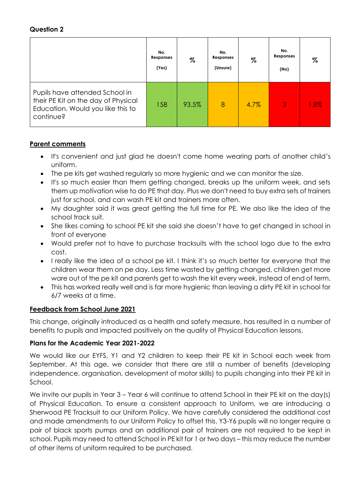|                                                                                                                         | No.<br>Responses<br>(Yes) | $\%$  | No.<br>Responses<br>(Unsure) | $\%$ | No.<br>Responses<br>(No) | %    |
|-------------------------------------------------------------------------------------------------------------------------|---------------------------|-------|------------------------------|------|--------------------------|------|
| Pupils have attended School in<br>their PE Kit on the day of Physical<br>Education. Would you like this to<br>continue? | 158                       | 93.5% | $\overline{8}$               | 4.7% | 3                        | 1.8% |

#### **Parent comments**

- It's convenient and just glad he doesn't come home wearing parts of another child's uniform.
- The pe kits get washed regularly so more hygienic and we can monitor the size.
- It's so much easier than them getting changed, breaks up the uniform week, and sets them up motivation wise to do PE that day. Plus we don't need to buy extra sets of trainers just for school, and can wash PE kit and trainers more often.
- My daughter said it was great getting the full time for PE. We also like the idea of the school track suit.
- She likes coming to school PE kit she said she doesn't have to get changed in school in front of everyone
- Would prefer not to have to purchase tracksuits with the school logo due to the extra cost.
- I really like the idea of a school pe kit. I think it's so much better for everyone that the children wear them on pe day. Less time wasted by getting changed, children get more ware out of the pe kit and parents get to wash the kit every week, instead of end of term.
- This has worked really well and is far more hygienic than leaving a dirty PE kit in school for 6/7 weeks at a time.

#### **Feedback from School June 2021**

This change, originally introduced as a health and safety measure, has resulted in a number of benefits to pupils and impacted positively on the quality of Physical Education lessons.

#### **Plans for the Academic Year 2021-2022**

We would like our EYFS, Y1 and Y2 children to keep their PE kit in School each week from September. At this age, we consider that there are still a number of benefits (developing independence, organisation, development of motor skills) to pupils changing into their PE kit in School.

We invite our pupils in Year 3 – Year 6 will continue to attend School in their PE kit on the day(s) of Physical Education. To ensure a consistent approach to Uniform, we are introducing a Sherwood PE Tracksuit to our Uniform Policy. We have carefully considered the additional cost and made amendments to our Uniform Policy to offset this. Y3-Y6 pupils will no longer require a pair of black sports pumps and an additional pair of trainers are not required to be kept in school. Pupils may need to attend School in PE kit for 1 or two days – this may reduce the number of other items of uniform required to be purchased.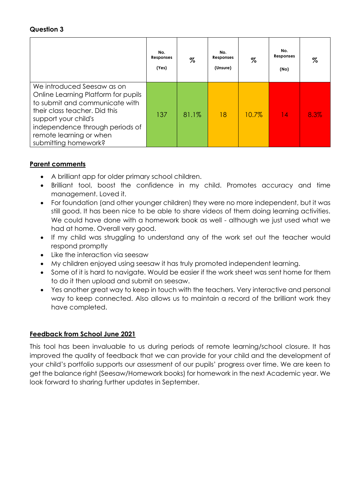|                                                                                                                                                                                                                                                    | No.<br>Responses<br>(Yes) | %     | No.<br>Responses<br>(Unsure) | %        | No.<br>Responses<br>(No) | %    |
|----------------------------------------------------------------------------------------------------------------------------------------------------------------------------------------------------------------------------------------------------|---------------------------|-------|------------------------------|----------|--------------------------|------|
| We introduced Seesaw as on<br>Online Learning Platform for pupils<br>to submit and communicate with<br>their class teacher. Did this<br>support your child's<br>independence through periods of<br>remote learning or when<br>submitting homework? | 137                       | 81.1% | 18                           | $10.7\%$ | 4                        | 8.3% |

#### **Parent comments**

- A brilliant app for older primary school children.
- Brilliant tool, boost the confidence in my child. Promotes accuracy and time management. Loved it.
- For foundation (and other younger children) they were no more independent, but it was still good. It has been nice to be able to share videos of them doing learning activities. We could have done with a homework book as well - although we just used what we had at home. Overall very good.
- If my child was struggling to understand any of the work set out the teacher would respond promptly
- Like the interaction via seesaw
- My children enjoyed using seesaw it has truly promoted independent learning.
- Some of it is hard to navigate. Would be easier if the work sheet was sent home for them to do it then upload and submit on seesaw.
- Yes another great way to keep in touch with the teachers. Very interactive and personal way to keep connected. Also allows us to maintain a record of the brilliant work they have completed.

#### **Feedback from School June 2021**

This tool has been invaluable to us during periods of remote learning/school closure. It has improved the quality of feedback that we can provide for your child and the development of your child's portfolio supports our assessment of our pupils' progress over time. We are keen to get the balance right (Seesaw/Homework books) for homework in the next Academic year. We look forward to sharing further updates in September.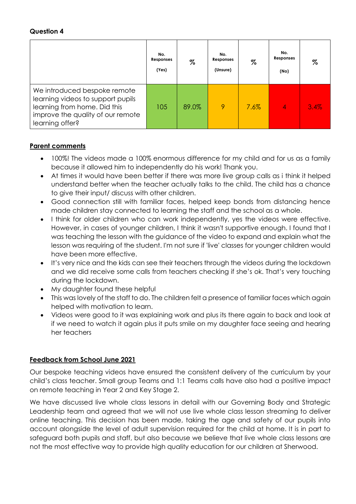|                                                                                                                                                           | No.<br>Responses<br>(Yes) | %     | No.<br>Responses<br>(Unsure) | %    | No.<br>Responses<br>(No) | %    |
|-----------------------------------------------------------------------------------------------------------------------------------------------------------|---------------------------|-------|------------------------------|------|--------------------------|------|
| We introduced bespoke remote<br>learning videos to support pupils<br>learning from home. Did this<br>improve the quality of our remote<br>learning offer? | 105                       | 89.0% | 9                            | 7.6% | 4                        | 3.4% |

#### **Parent comments**

- 100%! The videos made a 100% enormous difference for my child and for us as a family because it allowed him to independently do his work! Thank you.
- At times it would have been better if there was more live group calls as i think it helped understand better when the teacher actually talks to the child. The child has a chance to give their input/ discuss with other children.
- Good connection still with familiar faces, helped keep bonds from distancing hence made children stay connected to learning the staff and the school as a whole.
- I think for older children who can work independently, yes the videos were effective. However, in cases of younger children, I think it wasn't supportive enough. I found that I was teaching the lesson with the guidance of the video to expand and explain what the lesson was requiring of the student. I'm not sure if 'live' classes for younger children would have been more effective.
- It's very nice and the kids can see their teachers through the videos during the lockdown and we did receive some calls from teachers checking if she's ok. That's very touching during the lockdown.
- My daughter found these helpful
- This was lovely of the staff to do. The children felt a presence of familiar faces which again helped with motivation to learn.
- Videos were good to it was explaining work and plus its there again to back and look at if we need to watch it again plus it puts smile on my daughter face seeing and hearing her teachers

#### **Feedback from School June 2021**

Our bespoke teaching videos have ensured the consistent delivery of the curriculum by your child's class teacher. Small group Teams and 1:1 Teams calls have also had a positive impact on remote teaching in Year 2 and Key Stage 2.

We have discussed live whole class lessons in detail with our Governing Body and Strategic Leadership team and agreed that we will not use live whole class lesson streaming to deliver online teaching. This decision has been made, taking the age and safety of our pupils into account alongside the level of adult supervision required for the child at home. It is in part to safeguard both pupils and staff, but also because we believe that live whole class lessons are not the most effective way to provide high quality education for our children at Sherwood.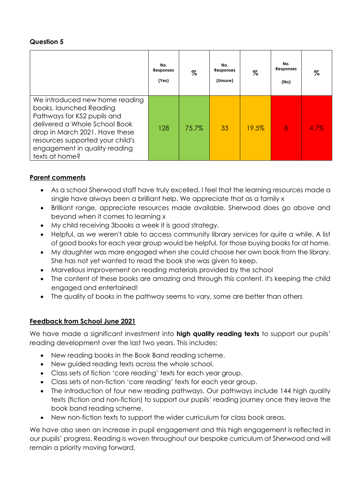|                                                                                                                                                                                                                                                    | No.<br>Responses<br>(Yes) | %     | No.<br>Responses<br>(Unsure) | $\%$  | No.<br>Responses<br>(No) | %    |
|----------------------------------------------------------------------------------------------------------------------------------------------------------------------------------------------------------------------------------------------------|---------------------------|-------|------------------------------|-------|--------------------------|------|
| We introduced new home reading<br>books, launched Reading<br>Pathways for KS2 pupils and<br>delivered a Whole School Book<br>drop in March 2021. Have these<br>resources supported your child's<br>engagement in quality reading<br>texts at home? | 128                       | 75.7% | 33                           | 19.5% | 8                        | 4.7% |

# **Parent comments**

- As a school Sherwood staff have truly excelled, I feel that the learning resources made a single have always been a brilliant help. We appreciate that as a family x
- Brilliant range, appreciate resources made available. Sherwood does go above and beyond when it comes to learning x
- My child receiving 3books a week it is good strategy.
- Helpful, as we weren't able to access community library services for quite a while. A list of good books for each year group would be helpful, for those buying books for at home.
- My daughter was more engaged when she could choose her own book from the library. She has not yet wanted to read the book she was given to keep.
- Marvellous improvement on reading materials provided by the school
- The content of these books are amazing and through this content, it's keeping the child engaged and entertained!
- The quality of books in the pathway seems to vary, some are better than others

# **Feedback from School June 2021**

We have made a significant investment into **high quality reading texts** to support our pupils' reading development over the last two years. This includes:

- New reading books in the Book Band reading scheme.
- New guided reading texts across the whole school.
- Class sets of fiction 'core reading' texts for each year group.
- Class sets of non-fiction 'core reading' texts for each year group.
- The introduction of four new reading pathways. Our pathways include 144 high quality texts (fiction and non-fiction) to support our pupils' reading journey once they leave the book band reading scheme.
- New non-fiction texts to support the wider curriculum for class book areas.

We have also seen an increase in pupil engagement and this high engagement is reflected in our pupils' progress. Reading is woven throughout our bespoke curriculum at Sherwood and will remain a priority moving forward.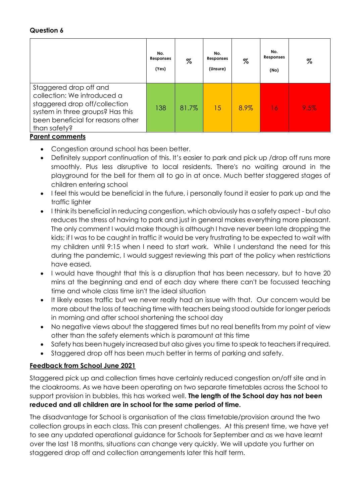|                                                                                                                                                                                 | No.<br><b>Responses</b><br>(Yes) | $\%$  | No.<br>Responses<br>(Unsure) | $\%$ | No.<br>Responses<br>(No) | %    |
|---------------------------------------------------------------------------------------------------------------------------------------------------------------------------------|----------------------------------|-------|------------------------------|------|--------------------------|------|
| Staggered drop off and<br>collection: We introduced a<br>staggered drop off/collection<br>system in three groups? Has this<br>been beneficial for reasons other<br>than safety? | 138                              | 81.7% | 15                           | 8.9% | 16                       | 9.5% |

# **Parent comments**

- Congestion around school has been better.
- Definitely support continuation of this. It's easier to park and pick up /drop off runs more smoothly. Plus less disruptive to local residents. There's no waiting around in the playground for the bell for them all to go in at once. Much better staggered stages of children entering school
- I feel this would be beneficial in the future, i personally found it easier to park up and the traffic lighter
- I think its beneficial in reducing congestion, which obviously has a safety aspect but also reduces the stress of having to park and just in general makes everything more pleasant. The only comment I would make though is although I have never been late dropping the kids; if I was to be caught in traffic it would be very frustrating to be expected to wait with my children until 9:15 when I need to start work. While I understand the need for this during the pandemic, I would suggest reviewing this part of the policy when restrictions have eased.
- I would have thought that this is a disruption that has been necessary, but to have 20 mins at the beginning and end of each day where there can't be focussed teaching time and whole class time isn't the ideal situation
- It likely eases traffic but we never really had an issue with that. Our concern would be more about the loss of teaching time with teachers being stood outside for longer periods in morning and after school shortening the school day
- No negative views about the staggered times but no real benefits from my point of view other than the safety elements which is paramount at this time
- Safety has been hugely increased but also gives you time to speak to teachers if required.
- Staggered drop off has been much better in terms of parking and safety.

# **Feedback from School June 2021**

Staggered pick up and collection times have certainly reduced congestion on/off site and in the cloakrooms. As we have been operating on two separate timetables across the School to support provision in bubbles, this has worked well. **The length of the School day has not been reduced and all children are in school for the same period of time.**

The disadvantage for School is organisation of the class timetable/provision around the two collection groups in each class. This can present challenges. At this present time, we have yet to see any updated operational guidance for Schools for September and as we have learnt over the last 18 months, situations can change very quickly. We will update you further on staggered drop off and collection arrangements later this half term.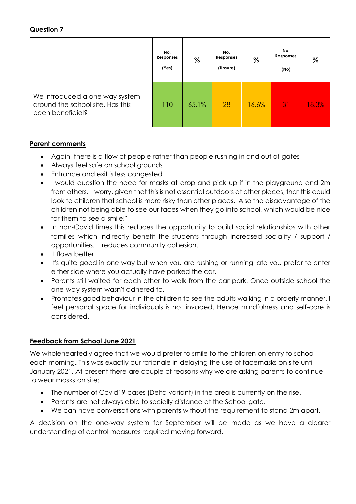|                                                                                        | No.<br>Responses<br>(Yes) | $\%$  | No.<br>Responses<br>(Unsure) | $\%$  | No.<br>Responses<br>(No) | %     |
|----------------------------------------------------------------------------------------|---------------------------|-------|------------------------------|-------|--------------------------|-------|
| We introduced a one way system<br>around the school site. Has this<br>been beneficial? | 110                       | 65.1% | 28                           | 16.6% | 31                       | 18.3% |

#### **Parent comments**

- Again, there is a flow of people rather than people rushing in and out of gates
- Always feel safe on school grounds
- Entrance and exit is less congested
- I would question the need for masks at drop and pick up if in the playground and 2m from others. I worry, given that this is not essential outdoors at other places, that this could look to children that school is more risky than other places. Also the disadvantage of the children not being able to see our faces when they go into school, which would be nice for them to see a smile!"
- In non-Covid times this reduces the opportunity to build social relationships with other families which indirectly benefit the students through increased sociality / support / opportunities. It reduces community cohesion.
- It flows better
- It's quite good in one way but when you are rushing or running late you prefer to enter either side where you actually have parked the car.
- Parents still waited for each other to walk from the car park. Once outside school the one-way system wasn't adhered to.
- Promotes good behaviour in the children to see the adults walking in a orderly manner. I feel personal space for individuals is not invaded. Hence mindfulness and self-care is considered.

#### **Feedback from School June 2021**

We wholeheartedly agree that we would prefer to smile to the children on entry to school each morning. This was exactly our rationale in delaying the use of facemasks on site until January 2021. At present there are couple of reasons why we are asking parents to continue to wear masks on site:

- The number of Covid19 cases (Delta variant) in the area is currently on the rise.
- Parents are not always able to socially distance at the School gate.
- We can have conversations with parents without the requirement to stand 2m apart.

A decision on the one-way system for September will be made as we have a clearer understanding of control measures required moving forward.